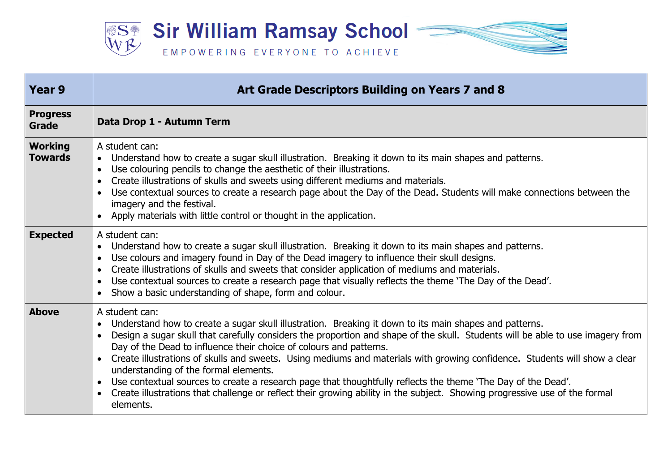

| <b>Year 9</b>                    | Art Grade Descriptors Building on Years 7 and 8                                                                                                                                                                                                                                                                                                                                                                                                                                                                                                                                                                                                                                                                                                                                              |
|----------------------------------|----------------------------------------------------------------------------------------------------------------------------------------------------------------------------------------------------------------------------------------------------------------------------------------------------------------------------------------------------------------------------------------------------------------------------------------------------------------------------------------------------------------------------------------------------------------------------------------------------------------------------------------------------------------------------------------------------------------------------------------------------------------------------------------------|
| <b>Progress</b><br><b>Grade</b>  | Data Drop 1 - Autumn Term                                                                                                                                                                                                                                                                                                                                                                                                                                                                                                                                                                                                                                                                                                                                                                    |
| <b>Working</b><br><b>Towards</b> | A student can:<br>Understand how to create a sugar skull illustration. Breaking it down to its main shapes and patterns.<br>$\bullet$<br>Use colouring pencils to change the aesthetic of their illustrations.<br>$\bullet$<br>Create illustrations of skulls and sweets using different mediums and materials.<br>Use contextual sources to create a research page about the Day of the Dead. Students will make connections between the<br>imagery and the festival.<br>Apply materials with little control or thought in the application.                                                                                                                                                                                                                                                 |
| <b>Expected</b>                  | A student can:<br>Understand how to create a sugar skull illustration. Breaking it down to its main shapes and patterns.<br>$\bullet$<br>Use colours and imagery found in Day of the Dead imagery to influence their skull designs.<br>Create illustrations of skulls and sweets that consider application of mediums and materials.<br>Use contextual sources to create a research page that visually reflects the theme 'The Day of the Dead'.<br>Show a basic understanding of shape, form and colour.                                                                                                                                                                                                                                                                                    |
| <b>Above</b>                     | A student can:<br>Understand how to create a sugar skull illustration. Breaking it down to its main shapes and patterns.<br>Design a sugar skull that carefully considers the proportion and shape of the skull. Students will be able to use imagery from<br>Day of the Dead to influence their choice of colours and patterns.<br>Create illustrations of skulls and sweets. Using mediums and materials with growing confidence. Students will show a clear<br>understanding of the formal elements.<br>Use contextual sources to create a research page that thoughtfully reflects the theme 'The Day of the Dead'.<br>$\bullet$<br>Create illustrations that challenge or reflect their growing ability in the subject. Showing progressive use of the formal<br>$\bullet$<br>elements. |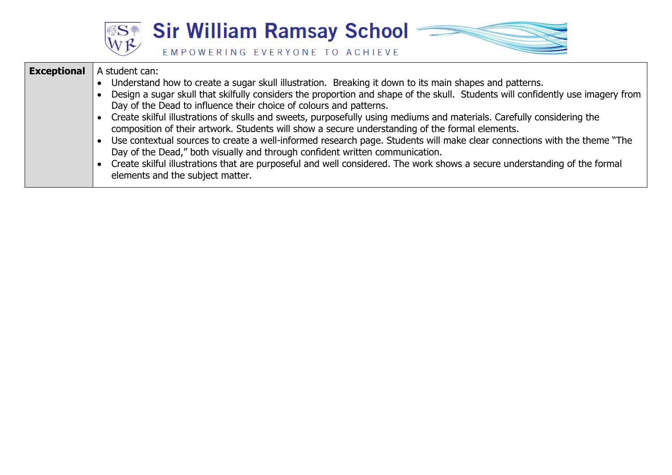



| <b>Exceptional</b> | A student can:<br>Understand how to create a sugar skull illustration. Breaking it down to its main shapes and patterns.<br>Design a sugar skull that skilfully considers the proportion and shape of the skull. Students will confidently use imagery from<br>Day of the Dead to influence their choice of colours and patterns.<br>Create skilful illustrations of skulls and sweets, purposefully using mediums and materials. Carefully considering the<br>composition of their artwork. Students will show a secure understanding of the formal elements.<br>Use contextual sources to create a well-informed research page. Students will make clear connections with the theme "The<br>Day of the Dead," both visually and through confident written communication.<br>Create skilful illustrations that are purposeful and well considered. The work shows a secure understanding of the formal |
|--------------------|---------------------------------------------------------------------------------------------------------------------------------------------------------------------------------------------------------------------------------------------------------------------------------------------------------------------------------------------------------------------------------------------------------------------------------------------------------------------------------------------------------------------------------------------------------------------------------------------------------------------------------------------------------------------------------------------------------------------------------------------------------------------------------------------------------------------------------------------------------------------------------------------------------|
|                    | elements and the subject matter.                                                                                                                                                                                                                                                                                                                                                                                                                                                                                                                                                                                                                                                                                                                                                                                                                                                                        |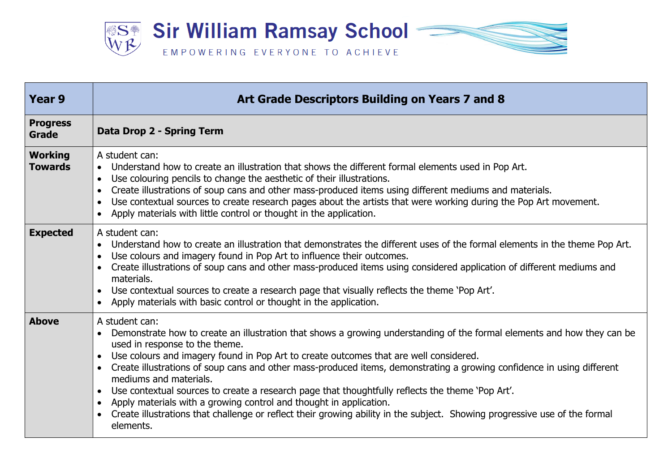

| <b>Year 9</b>                    | Art Grade Descriptors Building on Years 7 and 8                                                                                                                                                                                                                                                                                                                                                                                                                                                                                                                                                                                                                                                                                                            |
|----------------------------------|------------------------------------------------------------------------------------------------------------------------------------------------------------------------------------------------------------------------------------------------------------------------------------------------------------------------------------------------------------------------------------------------------------------------------------------------------------------------------------------------------------------------------------------------------------------------------------------------------------------------------------------------------------------------------------------------------------------------------------------------------------|
| <b>Progress</b><br><b>Grade</b>  | Data Drop 2 - Spring Term                                                                                                                                                                                                                                                                                                                                                                                                                                                                                                                                                                                                                                                                                                                                  |
| <b>Working</b><br><b>Towards</b> | A student can:<br>Understand how to create an illustration that shows the different formal elements used in Pop Art.<br>$\bullet$<br>Use colouring pencils to change the aesthetic of their illustrations.<br>$\bullet$<br>Create illustrations of soup cans and other mass-produced items using different mediums and materials.<br>Use contextual sources to create research pages about the artists that were working during the Pop Art movement.<br>Apply materials with little control or thought in the application.                                                                                                                                                                                                                                |
| <b>Expected</b>                  | A student can:<br>Understand how to create an illustration that demonstrates the different uses of the formal elements in the theme Pop Art.<br>Use colours and imagery found in Pop Art to influence their outcomes.<br>Create illustrations of soup cans and other mass-produced items using considered application of different mediums and<br>materials.<br>Use contextual sources to create a research page that visually reflects the theme 'Pop Art'.<br>Apply materials with basic control or thought in the application.                                                                                                                                                                                                                          |
| <b>Above</b>                     | A student can:<br>Demonstrate how to create an illustration that shows a growing understanding of the formal elements and how they can be<br>used in response to the theme.<br>Use colours and imagery found in Pop Art to create outcomes that are well considered.<br>Create illustrations of soup cans and other mass-produced items, demonstrating a growing confidence in using different<br>mediums and materials.<br>Use contextual sources to create a research page that thoughtfully reflects the theme 'Pop Art'.<br>$\bullet$<br>Apply materials with a growing control and thought in application.<br>Create illustrations that challenge or reflect their growing ability in the subject. Showing progressive use of the formal<br>elements. |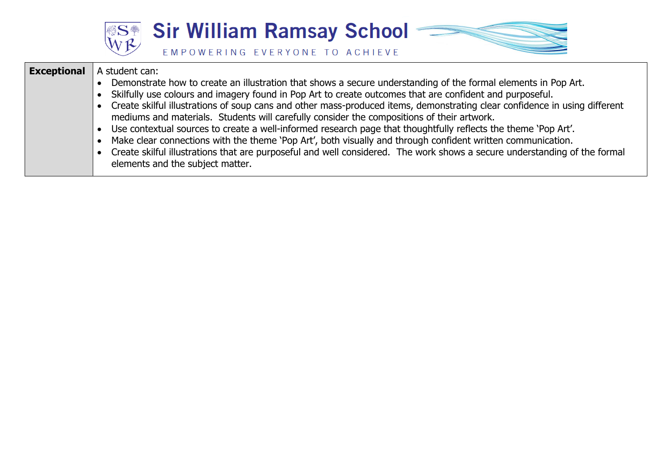

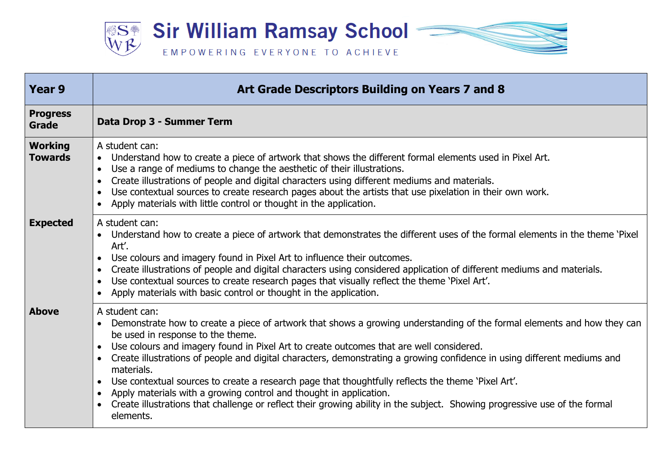

| Year 9                           | Art Grade Descriptors Building on Years 7 and 8                                                                                                                                                                                                                                                                                                                                                                                                                                                                                                                                                                                                                                                                                                                      |
|----------------------------------|----------------------------------------------------------------------------------------------------------------------------------------------------------------------------------------------------------------------------------------------------------------------------------------------------------------------------------------------------------------------------------------------------------------------------------------------------------------------------------------------------------------------------------------------------------------------------------------------------------------------------------------------------------------------------------------------------------------------------------------------------------------------|
| <b>Progress</b><br><b>Grade</b>  | Data Drop 3 - Summer Term                                                                                                                                                                                                                                                                                                                                                                                                                                                                                                                                                                                                                                                                                                                                            |
| <b>Working</b><br><b>Towards</b> | A student can:<br>• Understand how to create a piece of artwork that shows the different formal elements used in Pixel Art.<br>Use a range of mediums to change the aesthetic of their illustrations.<br>Create illustrations of people and digital characters using different mediums and materials.<br>Use contextual sources to create research pages about the artists that use pixelation in their own work.<br>Apply materials with little control or thought in the application.                                                                                                                                                                                                                                                                              |
| <b>Expected</b>                  | A student can:<br>• Understand how to create a piece of artwork that demonstrates the different uses of the formal elements in the theme 'Pixel<br>Art'.<br>Use colours and imagery found in Pixel Art to influence their outcomes.<br>Create illustrations of people and digital characters using considered application of different mediums and materials.<br>Use contextual sources to create research pages that visually reflect the theme 'Pixel Art'.<br>Apply materials with basic control or thought in the application.                                                                                                                                                                                                                                   |
| <b>Above</b>                     | A student can:<br>Demonstrate how to create a piece of artwork that shows a growing understanding of the formal elements and how they can<br>be used in response to the theme.<br>Use colours and imagery found in Pixel Art to create outcomes that are well considered.<br>Create illustrations of people and digital characters, demonstrating a growing confidence in using different mediums and<br>materials.<br>Use contextual sources to create a research page that thoughtfully reflects the theme 'Pixel Art'.<br>$\bullet$<br>Apply materials with a growing control and thought in application.<br>$\bullet$<br>Create illustrations that challenge or reflect their growing ability in the subject. Showing progressive use of the formal<br>elements. |